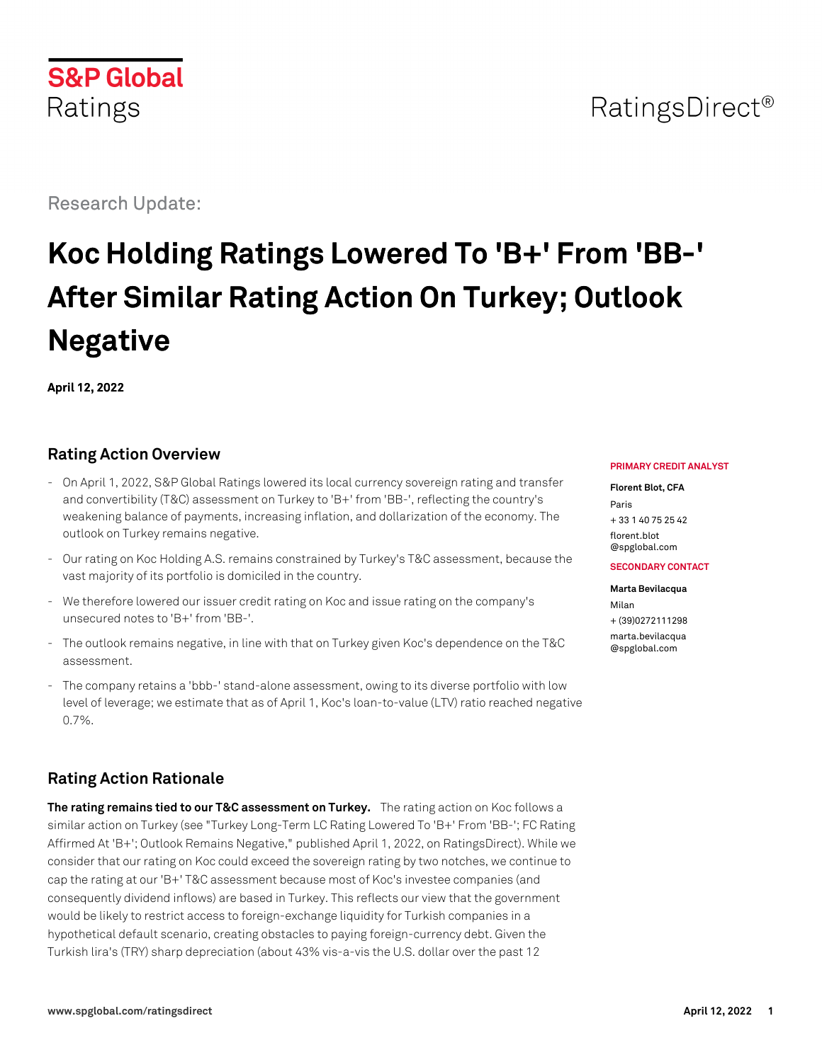# **S&P Global** Ratings

Research Update:

# **Koc Holding Ratings Lowered To 'B+' From 'BB-' After Similar Rating Action On Turkey; Outlook Negative**

**April 12, 2022**

# **Rating Action Overview**

- On April 1, 2022, S&P Global Ratings lowered its local currency sovereign rating and transfer and convertibility (T&C) assessment on Turkey to 'B+' from 'BB-', reflecting the country's weakening balance of payments, increasing inflation, and dollarization of the economy. The outlook on Turkey remains negative.
- Our rating on Koc Holding A.S. remains constrained by Turkey's T&C assessment, because the vast majority of its portfolio is domiciled in the country.
- We therefore lowered our issuer credit rating on Koc and issue rating on the company's unsecured notes to 'B+' from 'BB-'.
- The outlook remains negative, in line with that on Turkey given Koc's dependence on the T&C assessment.
- The company retains a 'bbb-' stand-alone assessment, owing to its diverse portfolio with low level of leverage; we estimate that as of April 1, Koc's loan-to-value (LTV) ratio reached negative 0.7%.

# **Rating Action Rationale**

**The rating remains tied to our T&C assessment on Turkey.** The rating action on Koc follows a similar action on Turkey (see "Turkey Long-Term LC Rating Lowered To 'B+' From 'BB-'; FC Rating Affirmed At 'B+'; Outlook Remains Negative," published April 1, 2022, on RatingsDirect). While we consider that our rating on Koc could exceed the sovereign rating by two notches, we continue to cap the rating at our 'B+' T&C assessment because most of Koc's investee companies (and consequently dividend inflows) are based in Turkey. This reflects our view that the government would be likely to restrict access to foreign-exchange liquidity for Turkish companies in a hypothetical default scenario, creating obstacles to paying foreign-currency debt. Given the Turkish lira's (TRY) sharp depreciation (about 43% vis-a-vis the U.S. dollar over the past 12

#### **PRIMARY CREDIT ANALYST**

#### **Florent Blot, CFA**

Paris + 33 1 40 75 25 42 [florent.blot](mailto:florent.blot@spglobal.com) [@spglobal.com](mailto:florent.blot@spglobal.com)

**SECONDARY CONTACT**

**Marta Bevilacqua** Milan + (39)0272111298 [marta.bevilacqua](mailto:marta.bevilacqua@spglobal.com) [@spglobal.com](mailto:marta.bevilacqua@spglobal.com)

# RatingsDirect<sup>®</sup>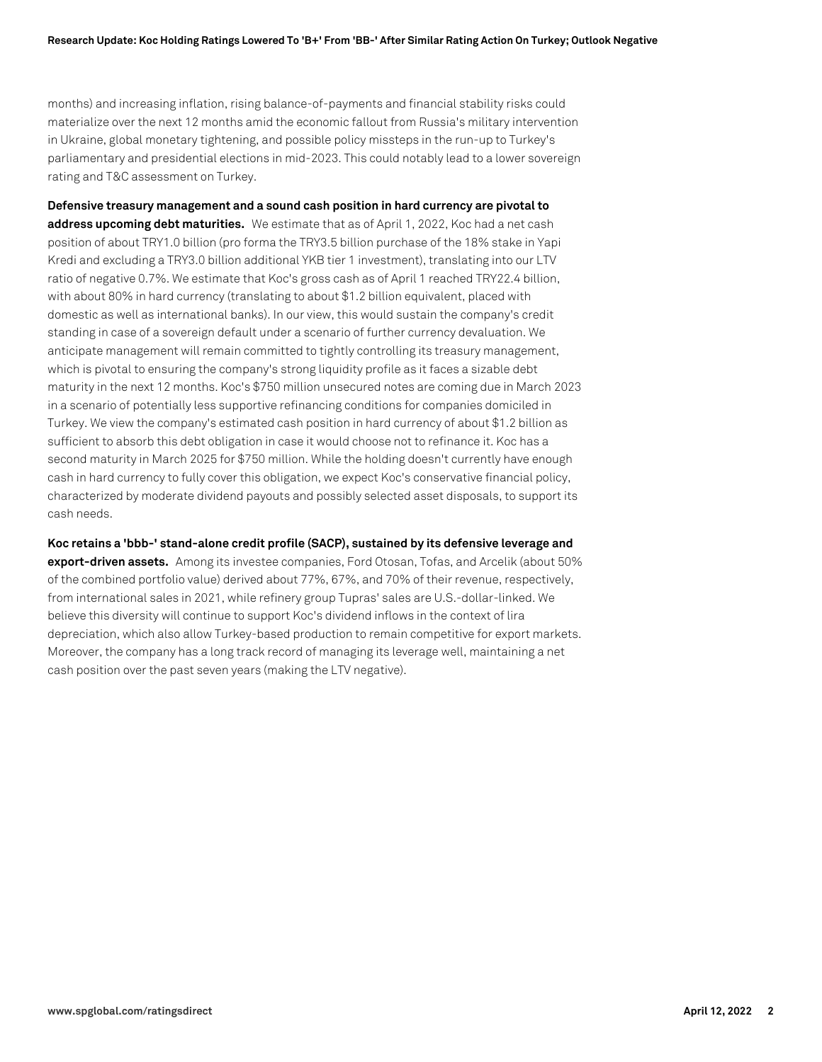months) and increasing inflation, rising balance-of-payments and financial stability risks could materialize over the next 12 months amid the economic fallout from Russia's military intervention in Ukraine, global monetary tightening, and possible policy missteps in the run-up to Turkey's parliamentary and presidential elections in mid-2023. This could notably lead to a lower sovereign rating and T&C assessment on Turkey.

**Defensive treasury management and a sound cash position in hard currency are pivotal to address upcoming debt maturities.** We estimate that as of April 1, 2022, Koc had a net cash position of about TRY1.0 billion (pro forma the TRY3.5 billion purchase of the 18% stake in Yapi Kredi and excluding a TRY3.0 billion additional YKB tier 1 investment), translating into our LTV ratio of negative 0.7%. We estimate that Koc's gross cash as of April 1 reached TRY22.4 billion, with about 80% in hard currency (translating to about \$1.2 billion equivalent, placed with domestic as well as international banks). In our view, this would sustain the company's credit standing in case of a sovereign default under a scenario of further currency devaluation. We anticipate management will remain committed to tightly controlling its treasury management, which is pivotal to ensuring the company's strong liquidity profile as it faces a sizable debt maturity in the next 12 months. Koc's \$750 million unsecured notes are coming due in March 2023 in a scenario of potentially less supportive refinancing conditions for companies domiciled in Turkey. We view the company's estimated cash position in hard currency of about \$1.2 billion as sufficient to absorb this debt obligation in case it would choose not to refinance it. Koc has a second maturity in March 2025 for \$750 million. While the holding doesn't currently have enough cash in hard currency to fully cover this obligation, we expect Koc's conservative financial policy, characterized by moderate dividend payouts and possibly selected asset disposals, to support its cash needs.

**Koc retains a 'bbb-' stand-alone credit profile (SACP), sustained by its defensive leverage and export-driven assets.** Among its investee companies, Ford Otosan, Tofas, and Arcelik (about 50% of the combined portfolio value) derived about 77%, 67%, and 70% of their revenue, respectively, from international sales in 2021, while refinery group Tupras' sales are U.S.-dollar-linked. We believe this diversity will continue to support Koc's dividend inflows in the context of lira depreciation, which also allow Turkey-based production to remain competitive for export markets. Moreover, the company has a long track record of managing its leverage well, maintaining a net cash position over the past seven years (making the LTV negative).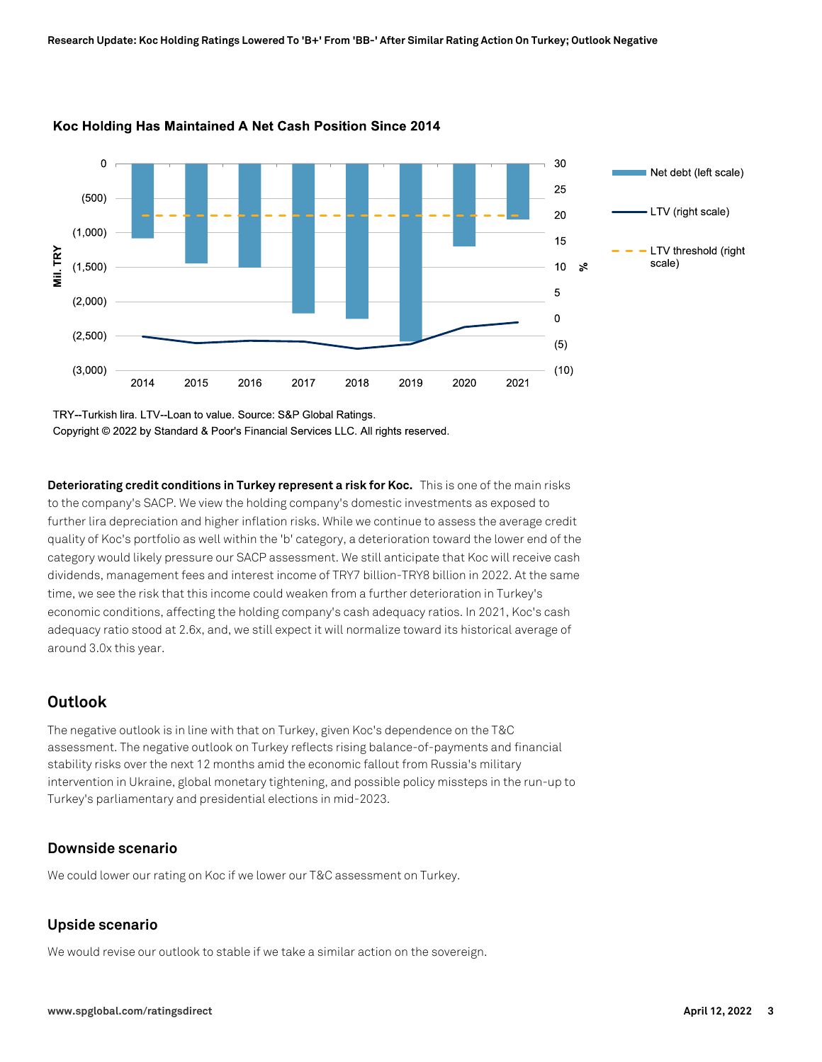

#### Koc Holding Has Maintained A Net Cash Position Since 2014

TRY--Turkish lira. LTV--Loan to value. Source: S&P Global Ratings. Copyright © 2022 by Standard & Poor's Financial Services LLC. All rights reserved.

**Deteriorating credit conditions in Turkey represent a risk for Koc.** This is one of the main risks to the company's SACP. We view the holding company's domestic investments as exposed to further lira depreciation and higher inflation risks. While we continue to assess the average credit quality of Koc's portfolio as well within the 'b' category, a deterioration toward the lower end of the category would likely pressure our SACP assessment. We still anticipate that Koc will receive cash dividends, management fees and interest income of TRY7 billion-TRY8 billion in 2022. At the same time, we see the risk that this income could weaken from a further deterioration in Turkey's economic conditions, affecting the holding company's cash adequacy ratios. In 2021, Koc's cash adequacy ratio stood at 2.6x, and, we still expect it will normalize toward its historical average of around 3.0x this year.

# **Outlook**

The negative outlook is in line with that on Turkey, given Koc's dependence on the T&C assessment. The negative outlook on Turkey reflects rising balance-of-payments and financial stability risks over the next 12 months amid the economic fallout from Russia's military intervention in Ukraine, global monetary tightening, and possible policy missteps in the run-up to Turkey's parliamentary and presidential elections in mid-2023.

#### **Downside scenario**

We could lower our rating on Koc if we lower our T&C assessment on Turkey.

#### **Upside scenario**

We would revise our outlook to stable if we take a similar action on the sovereign.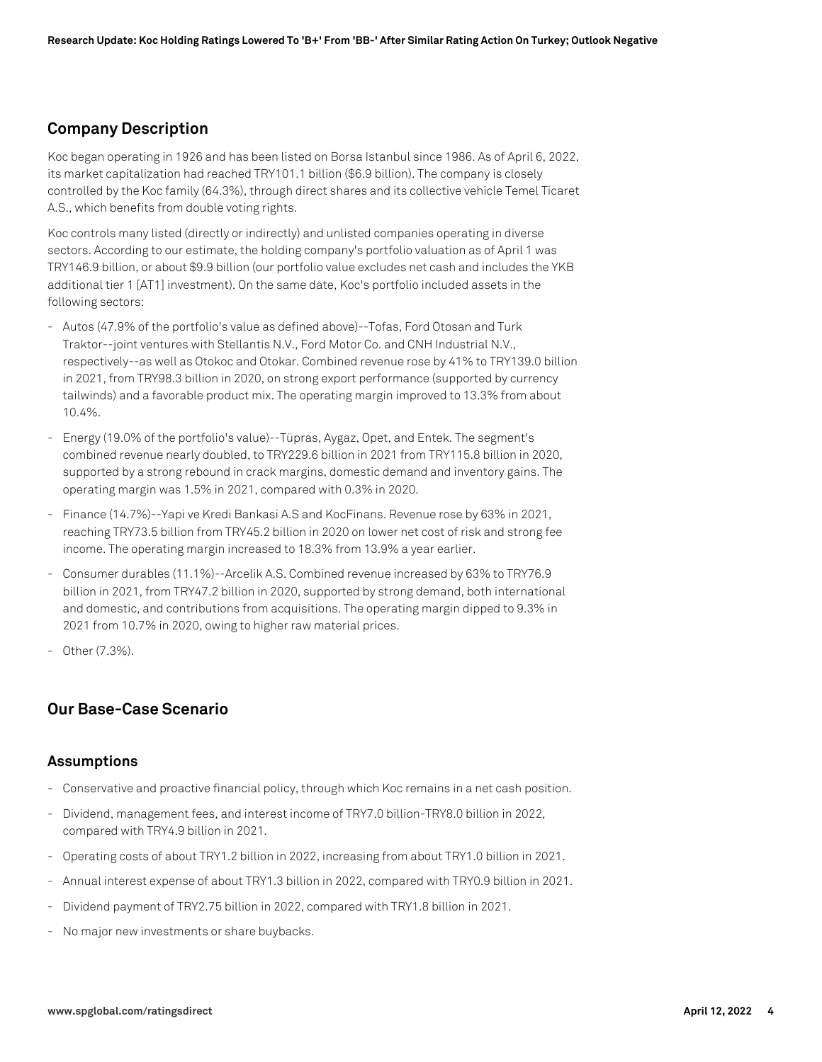#### **Company Description**

Koc began operating in 1926 and has been listed on Borsa Istanbul since 1986. As of April 6, 2022, its market capitalization had reached TRY101.1 billion (\$6.9 billion). The company is closely controlled by the Koc family (64.3%), through direct shares and its collective vehicle Temel Ticaret A.S., which benefits from double voting rights.

Koc controls many listed (directly or indirectly) and unlisted companies operating in diverse sectors. According to our estimate, the holding company's portfolio valuation as of April 1 was TRY146.9 billion, or about \$9.9 billion (our portfolio value excludes net cash and includes the YKB additional tier 1 [AT1] investment). On the same date, Koc's portfolio included assets in the following sectors:

- Autos (47.9% of the portfolio's value as defined above)--Tofas, Ford Otosan and Turk Traktor--joint ventures with Stellantis N.V., Ford Motor Co. and CNH Industrial N.V., respectively--as well as Otokoc and Otokar. Combined revenue rose by 41% to TRY139.0 billion in 2021, from TRY98.3 billion in 2020, on strong export performance (supported by currency tailwinds) and a favorable product mix. The operating margin improved to 13.3% from about 10.4%.
- Energy (19.0% of the portfolio's value)--Tüpras, Aygaz, Opet, and Entek. The segment's combined revenue nearly doubled, to TRY229.6 billion in 2021 from TRY115.8 billion in 2020, supported by a strong rebound in crack margins, domestic demand and inventory gains. The operating margin was 1.5% in 2021, compared with 0.3% in 2020.
- Finance (14.7%)--Yapi ve Kredi Bankasi A.S and KocFinans. Revenue rose by 63% in 2021, reaching TRY73.5 billion from TRY45.2 billion in 2020 on lower net cost of risk and strong fee income. The operating margin increased to 18.3% from 13.9% a year earlier.
- Consumer durables (11.1%)--Arcelik A.S. Combined revenue increased by 63% to TRY76.9 billion in 2021, from TRY47.2 billion in 2020, supported by strong demand, both international and domestic, and contributions from acquisitions. The operating margin dipped to 9.3% in 2021 from 10.7% in 2020, owing to higher raw material prices.
- Other (7.3%).

#### **Our Base-Case Scenario**

#### **Assumptions**

- Conservative and proactive financial policy, through which Koc remains in a net cash position.
- Dividend, management fees, and interest income of TRY7.0 billion-TRY8.0 billion in 2022, compared with TRY4.9 billion in 2021.
- Operating costs of about TRY1.2 billion in 2022, increasing from about TRY1.0 billion in 2021.
- Annual interest expense of about TRY1.3 billion in 2022, compared with TRY0.9 billion in 2021.
- Dividend payment of TRY2.75 billion in 2022, compared with TRY1.8 billion in 2021.
- No major new investments or share buybacks.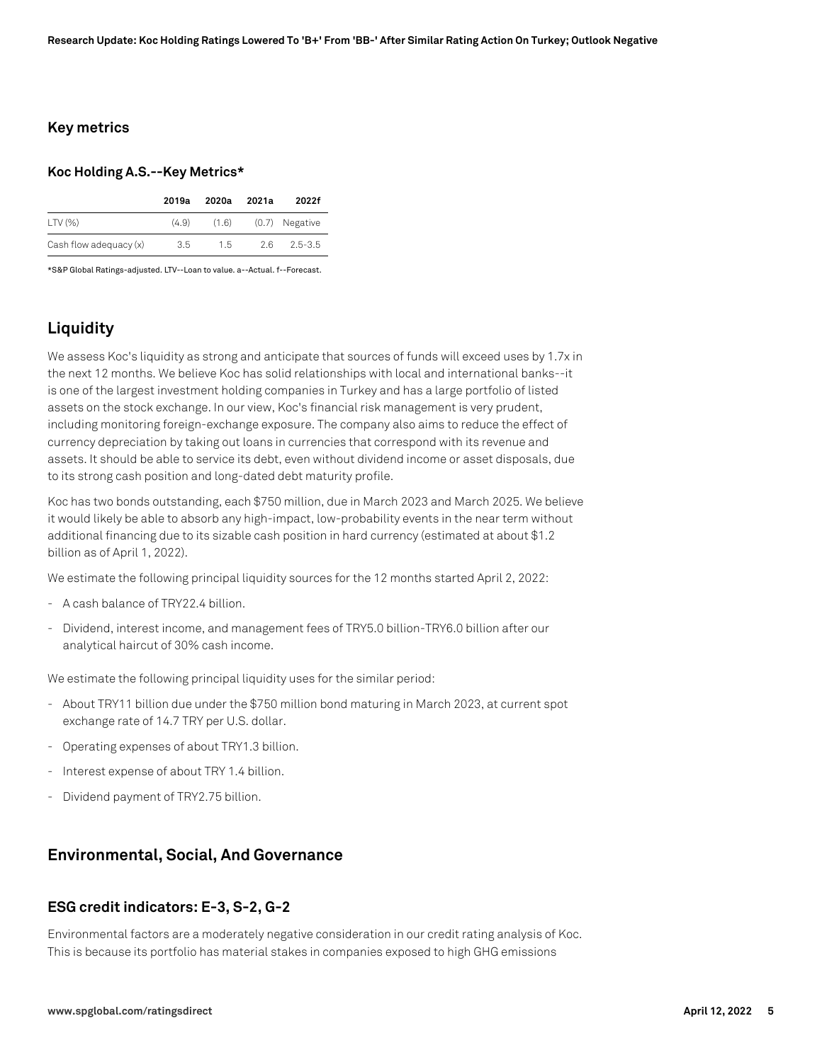#### **Key metrics**

#### **Koc Holding A.S.--Key Metrics\***

|                        | 2019a | 2020a         | 2021a | 2022f          |
|------------------------|-------|---------------|-------|----------------|
| $LTV (\%)$             | (4.9) | (1.6)         |       | (0.7) Negative |
| Cash flow adequacy (x) | 3.5   | $1.5^{\circ}$ | 26.   | $2.5 - 3.5$    |

\*S&P Global Ratings-adjusted. LTV--Loan to value. a--Actual. f--Forecast.

# **Liquidity**

We assess Koc's liquidity as strong and anticipate that sources of funds will exceed uses by 1.7x in the next 12 months. We believe Koc has solid relationships with local and international banks--it is one of the largest investment holding companies in Turkey and has a large portfolio of listed assets on the stock exchange. In our view, Koc's financial risk management is very prudent, including monitoring foreign-exchange exposure. The company also aims to reduce the effect of currency depreciation by taking out loans in currencies that correspond with its revenue and assets. It should be able to service its debt, even without dividend income or asset disposals, due to its strong cash position and long-dated debt maturity profile.

Koc has two bonds outstanding, each \$750 million, due in March 2023 and March 2025. We believe it would likely be able to absorb any high-impact, low-probability events in the near term without additional financing due to its sizable cash position in hard currency (estimated at about \$1.2 billion as of April 1, 2022).

We estimate the following principal liquidity sources for the 12 months started April 2, 2022:

- A cash balance of TRY22.4 billion.
- Dividend, interest income, and management fees of TRY5.0 billion-TRY6.0 billion after our analytical haircut of 30% cash income.

We estimate the following principal liquidity uses for the similar period:

- About TRY11 billion due under the \$750 million bond maturing in March 2023, at current spot exchange rate of 14.7 TRY per U.S. dollar.
- Operating expenses of about TRY1.3 billion.
- Interest expense of about TRY 1.4 billion.
- Dividend payment of TRY2.75 billion.

#### **Environmental, Social, And Governance**

#### **ESG credit indicators: E-3, S-2, G-2**

Environmental factors are a moderately negative consideration in our credit rating analysis of Koc. This is because its portfolio has material stakes in companies exposed to high GHG emissions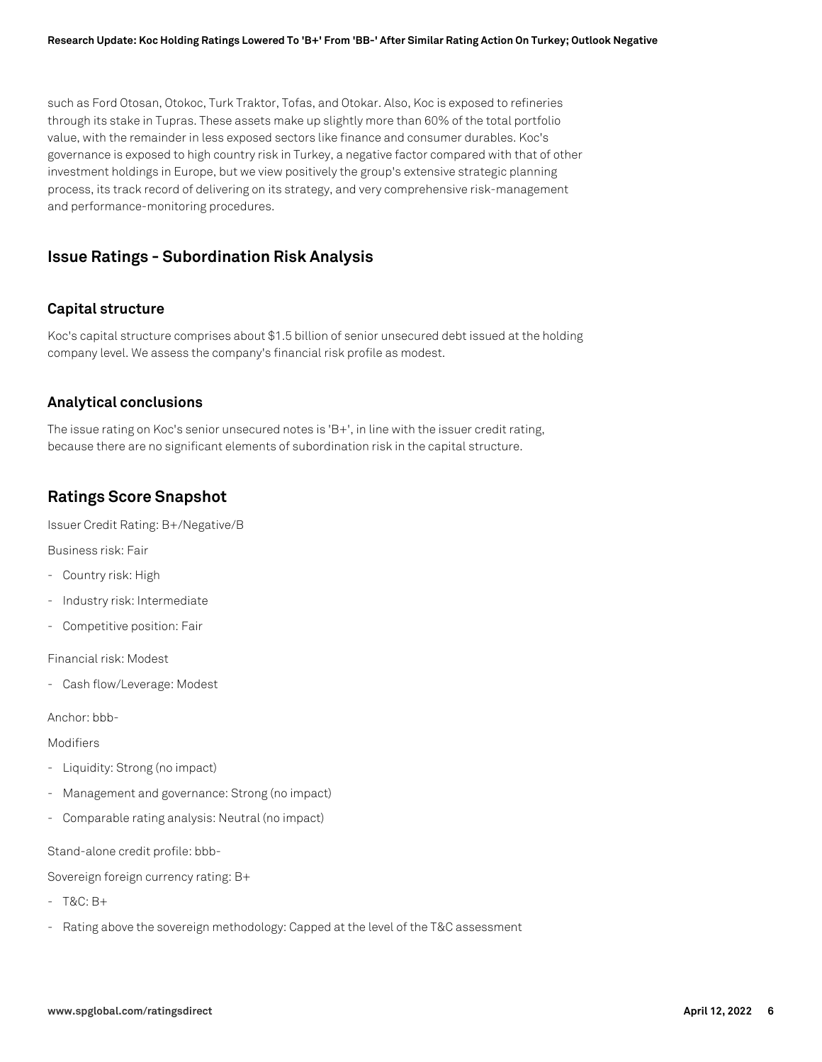such as Ford Otosan, Otokoc, Turk Traktor, Tofas, and Otokar. Also, Koc is exposed to refineries through its stake in Tupras. These assets make up slightly more than 60% of the total portfolio value, with the remainder in less exposed sectors like finance and consumer durables. Koc's governance is exposed to high country risk in Turkey, a negative factor compared with that of other investment holdings in Europe, but we view positively the group's extensive strategic planning process, its track record of delivering on its strategy, and very comprehensive risk-management and performance-monitoring procedures.

#### **Issue Ratings - Subordination Risk Analysis**

#### **Capital structure**

Koc's capital structure comprises about \$1.5 billion of senior unsecured debt issued at the holding company level. We assess the company's financial risk profile as modest.

#### **Analytical conclusions**

The issue rating on Koc's senior unsecured notes is 'B+', in line with the issuer credit rating, because there are no significant elements of subordination risk in the capital structure.

## **Ratings Score Snapshot**

Issuer Credit Rating: B+/Negative/B

Business risk: Fair

- Country risk: High
- Industry risk: Intermediate
- Competitive position: Fair

Financial risk: Modest

- Cash flow/Leverage: Modest

Anchor: bbb-

Modifiers

- Liquidity: Strong (no impact)
- Management and governance: Strong (no impact)
- Comparable rating analysis: Neutral (no impact)

Stand-alone credit profile: bbb-

Sovereign foreign currency rating: B+

- T&C: B+
- Rating above the sovereign methodology: Capped at the level of the T&C assessment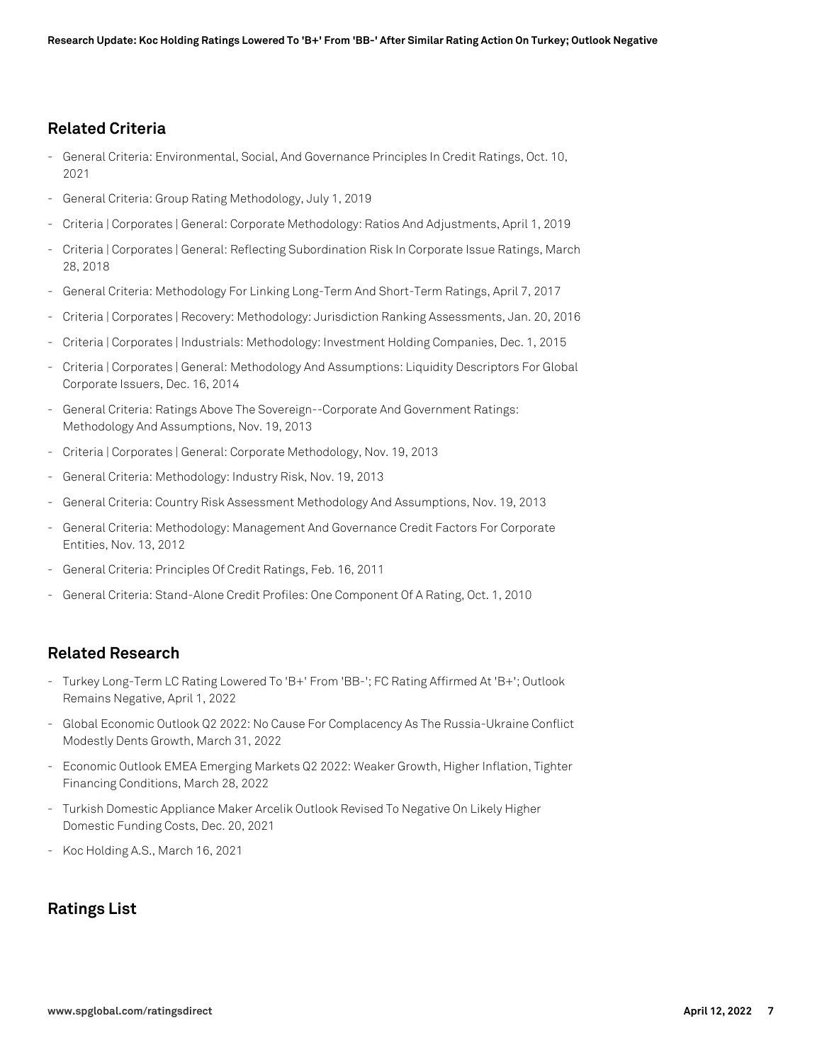## **Related Criteria**

- General Criteria: Environmental, Social, And Governance Principles In Credit Ratings, Oct. 10, 2021
- General Criteria: Group Rating Methodology, July 1, 2019
- Criteria | Corporates | General: Corporate Methodology: Ratios And Adjustments, April 1, 2019
- Criteria | Corporates | General: Reflecting Subordination Risk In Corporate Issue Ratings, March 28, 2018
- General Criteria: Methodology For Linking Long-Term And Short-Term Ratings, April 7, 2017
- Criteria | Corporates | Recovery: Methodology: Jurisdiction Ranking Assessments, Jan. 20, 2016
- Criteria | Corporates | Industrials: Methodology: Investment Holding Companies, Dec. 1, 2015
- Criteria | Corporates | General: Methodology And Assumptions: Liquidity Descriptors For Global Corporate Issuers, Dec. 16, 2014
- General Criteria: Ratings Above The Sovereign--Corporate And Government Ratings: Methodology And Assumptions, Nov. 19, 2013
- Criteria | Corporates | General: Corporate Methodology, Nov. 19, 2013
- General Criteria: Methodology: Industry Risk, Nov. 19, 2013
- General Criteria: Country Risk Assessment Methodology And Assumptions, Nov. 19, 2013
- General Criteria: Methodology: Management And Governance Credit Factors For Corporate Entities, Nov. 13, 2012
- General Criteria: Principles Of Credit Ratings, Feb. 16, 2011
- General Criteria: Stand-Alone Credit Profiles: One Component Of A Rating, Oct. 1, 2010

# **Related Research**

- Turkey Long-Term LC Rating Lowered To 'B+' From 'BB-'; FC Rating Affirmed At 'B+'; Outlook Remains Negative, April 1, 2022
- Global Economic Outlook Q2 2022: No Cause For Complacency As The Russia-Ukraine Conflict Modestly Dents Growth, March 31, 2022
- Economic Outlook EMEA Emerging Markets Q2 2022: Weaker Growth, Higher Inflation, Tighter Financing Conditions, March 28, 2022
- Turkish Domestic Appliance Maker Arcelik Outlook Revised To Negative On Likely Higher Domestic Funding Costs, Dec. 20, 2021
- Koc Holding A.S., March 16, 2021

# **Ratings List**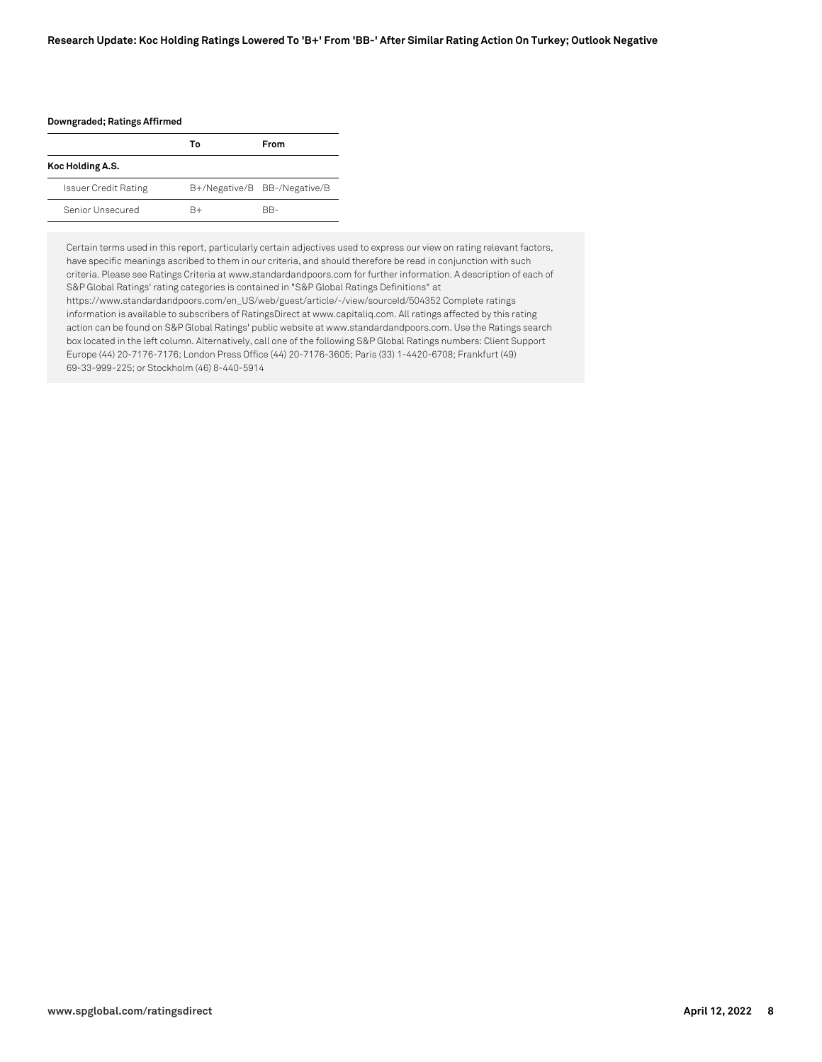#### **Research Update: Koc Holding Ratings Lowered To 'B+' From 'BB-' After Similar Rating Action On Turkey; Outlook Negative**

**Downgraded; Ratings Affirmed**

|                             | Т٥ | <b>From</b>                  |
|-----------------------------|----|------------------------------|
| Koc Holding A.S.            |    |                              |
| <b>Issuer Credit Rating</b> |    | B+/Negative/B BB-/Negative/B |
| Senior Unsecured            | R+ | BB-                          |

Certain terms used in this report, particularly certain adjectives used to express our view on rating relevant factors, have specific meanings ascribed to them in our criteria, and should therefore be read in conjunction with such criteria. Please see Ratings Criteria at www.standardandpoors.com for further information. A description of each of S&P Global Ratings' rating categories is contained in "S&P Global Ratings Definitions" at

https://www.standardandpoors.com/en\_US/web/guest/article/-/view/sourceId/504352 Complete ratings information is available to subscribers of RatingsDirect at www.capitaliq.com. All ratings affected by this rating action can be found on S&P Global Ratings' public website at www.standardandpoors.com. Use the Ratings search box located in the left column. Alternatively, call one of the following S&P Global Ratings numbers: Client Support Europe (44) 20-7176-7176; London Press Office (44) 20-7176-3605; Paris (33) 1-4420-6708; Frankfurt (49) 69-33-999-225; or Stockholm (46) 8-440-5914